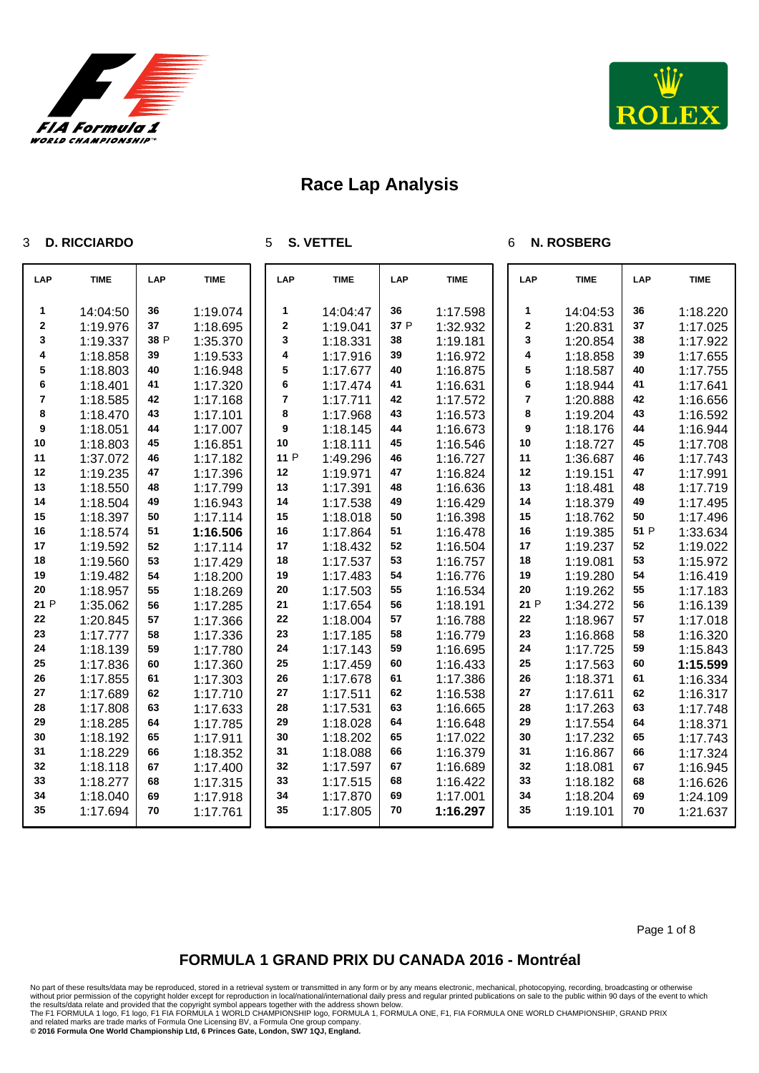



### **D. RICCIARDO**

**S. VETTEL**

### **N. ROSBERG**

| LAP         | <b>TIME</b> | LAP  | <b>TIME</b> | LAP              | <b>TIME</b> | LAP  | <b>TIME</b> | LAP         | <b>TIME</b> | LAP  | <b>TIME</b> |
|-------------|-------------|------|-------------|------------------|-------------|------|-------------|-------------|-------------|------|-------------|
| 1           | 14:04:50    | 36   | 1:19.074    | 1                | 14:04:47    | 36   | 1:17.598    | 1           | 14:04:53    | 36   | 1:18.220    |
| $\mathbf 2$ | 1:19.976    | 37   | 1:18.695    | $\mathbf 2$      | 1:19.041    | 37 P | 1:32.932    | $\mathbf 2$ | 1:20.831    | 37   | 1:17.025    |
| 3           | 1:19.337    | 38 P | 1:35.370    | 3                | 1:18.331    | 38   | 1:19.181    | 3           | 1:20.854    | 38   | 1:17.922    |
| 4           | 1:18.858    | 39   | 1:19.533    | 4                | 1:17.916    | 39   | 1:16.972    | 4           | 1:18.858    | 39   | 1:17.655    |
| 5           | 1:18.803    | 40   | 1:16.948    | 5                | 1:17.677    | 40   | 1:16.875    | 5           | 1:18.587    | 40   | 1:17.755    |
| 6           | 1:18.401    | 41   | 1:17.320    | $\bf 6$          | 1:17.474    | 41   | 1:16.631    | 6           | 1:18.944    | 41   | 1:17.641    |
| 7           | 1:18.585    | 42   | 1:17.168    | 7                | 1:17.711    | 42   | 1:17.572    | 7           | 1:20.888    | 42   | 1:16.656    |
| 8           | 1:18.470    | 43   | 1:17.101    | 8                | 1:17.968    | 43   | 1:16.573    | 8           | 1:19.204    | 43   | 1:16.592    |
| 9           | 1:18.051    | 44   | 1:17.007    | $\boldsymbol{9}$ | 1:18.145    | 44   | 1:16.673    | 9           | 1:18.176    | 44   | 1:16.944    |
| 10          | 1:18.803    | 45   | 1:16.851    | 10               | 1:18.111    | 45   | 1:16.546    | 10          | 1:18.727    | 45   | 1:17.708    |
| 11          | 1:37.072    | 46   | 1:17.182    | 11 P             | 1:49.296    | 46   | 1:16.727    | 11          | 1:36.687    | 46   | 1:17.743    |
| 12          | 1:19.235    | 47   | 1:17.396    | 12               | 1:19.971    | 47   | 1:16.824    | 12          | 1:19.151    | 47   | 1:17.991    |
| 13          | 1:18.550    | 48   | 1:17.799    | 13               | 1:17.391    | 48   | 1:16.636    | 13          | 1:18.481    | 48   | 1:17.719    |
| 14          | 1:18.504    | 49   | 1:16.943    | 14               | 1:17.538    | 49   | 1:16.429    | 14          | 1:18.379    | 49   | 1:17.495    |
| 15          | 1:18.397    | 50   | 1:17.114    | 15               | 1:18.018    | 50   | 1:16.398    | 15          | 1:18.762    | 50   | 1:17.496    |
| 16          | 1:18.574    | 51   | 1:16.506    | 16               | 1:17.864    | 51   | 1:16.478    | 16          | 1:19.385    | 51 P | 1:33.634    |
| 17          | 1:19.592    | 52   | 1:17.114    | 17               | 1:18.432    | 52   | 1:16.504    | 17          | 1:19.237    | 52   | 1:19.022    |
| 18          | 1:19.560    | 53   | 1:17.429    | 18               | 1:17.537    | 53   | 1:16.757    | 18          | 1:19.081    | 53   | 1:15.972    |
| 19          | 1:19.482    | 54   | 1:18.200    | 19               | 1:17.483    | 54   | 1:16.776    | 19          | 1:19.280    | 54   | 1:16.419    |
| 20          | 1:18.957    | 55   | 1:18.269    | 20               | 1:17.503    | 55   | 1:16.534    | 20          | 1:19.262    | 55   | 1:17.183    |
| 21 P        | 1:35.062    | 56   | 1:17.285    | 21               | 1:17.654    | 56   | 1:18.191    | 21 P        | 1:34.272    | 56   | 1:16.139    |
| 22          | 1:20.845    | 57   | 1:17.366    | 22               | 1:18.004    | 57   | 1:16.788    | 22          | 1:18.967    | 57   | 1:17.018    |
| 23          | 1:17.777    | 58   | 1:17.336    | 23               | 1:17.185    | 58   | 1:16.779    | 23          | 1:16.868    | 58   | 1:16.320    |
| 24          | 1:18.139    | 59   | 1:17.780    | 24               | 1:17.143    | 59   | 1:16.695    | 24          | 1:17.725    | 59   | 1:15.843    |
| 25          | 1:17.836    | 60   | 1:17.360    | 25               | 1:17.459    | 60   | 1:16.433    | 25          | 1:17.563    | 60   | 1:15.599    |
| 26          | 1:17.855    | 61   | 1:17.303    | 26               | 1:17.678    | 61   | 1:17.386    | 26          | 1:18.371    | 61   | 1:16.334    |
| 27          | 1:17.689    | 62   | 1:17.710    | 27               | 1:17.511    | 62   | 1:16.538    | 27          | 1:17.611    | 62   | 1:16.317    |
| 28          | 1:17.808    | 63   | 1:17.633    | 28               | 1:17.531    | 63   | 1:16.665    | 28          | 1:17.263    | 63   | 1:17.748    |
| 29          | 1:18.285    | 64   | 1:17.785    | 29               | 1:18.028    | 64   | 1:16.648    | 29          | 1:17.554    | 64   | 1:18.371    |
| 30          | 1:18.192    | 65   | 1:17.911    | 30               | 1:18.202    | 65   | 1:17.022    | 30          | 1:17.232    | 65   | 1:17.743    |
| 31          | 1:18.229    | 66   | 1:18.352    | 31               | 1:18.088    | 66   | 1:16.379    | 31          | 1:16.867    | 66   | 1:17.324    |
| 32          | 1:18.118    | 67   | 1:17.400    | 32               | 1:17.597    | 67   | 1:16.689    | 32          | 1:18.081    | 67   | 1:16.945    |
| 33          | 1:18.277    | 68   | 1:17.315    | 33               | 1:17.515    | 68   | 1:16.422    | 33          | 1:18.182    | 68   | 1:16.626    |
| 34          | 1:18.040    | 69   | 1:17.918    | 34               | 1:17.870    | 69   | 1:17.001    | 34          | 1:18.204    | 69   | 1:24.109    |
| 35          | 1:17.694    | 70   | 1:17.761    | 35               | 1:17.805    | 70   | 1:16.297    | 35          | 1:19.101    | 70   | 1:21.637    |

## **FORMULA 1 GRAND PRIX DU CANADA 2016 - Montréal**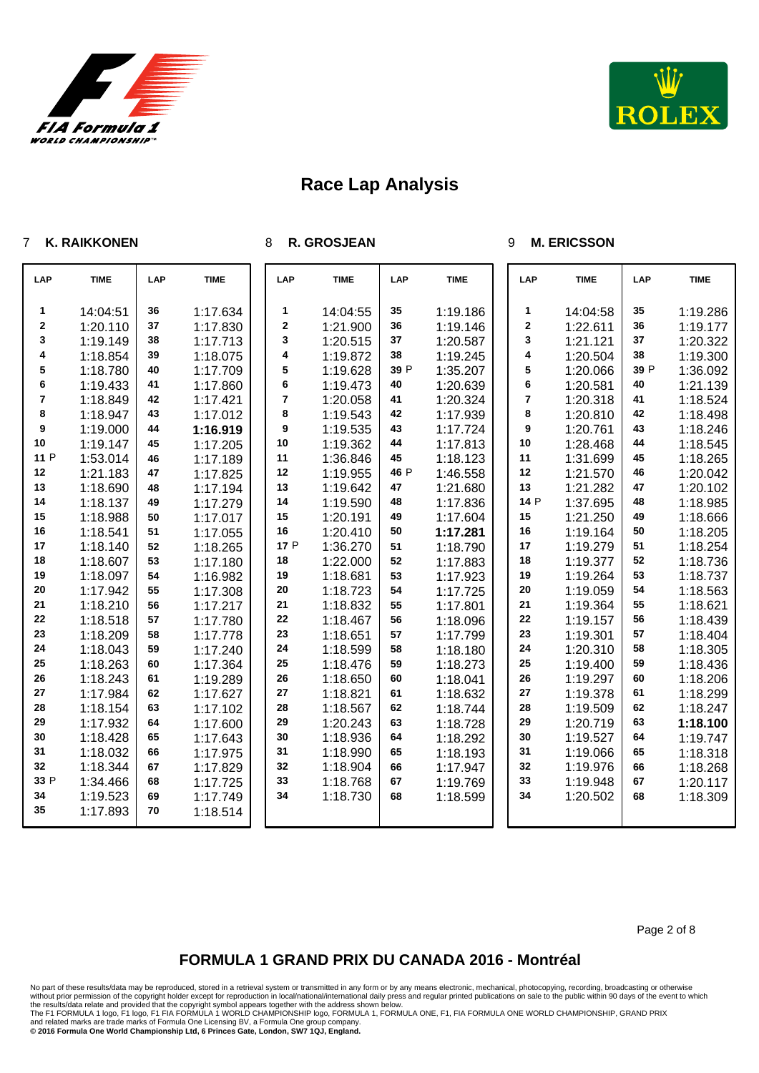



### **K. RAIKKONEN**

#### **R. GROSJEAN**

#### **M. ERICSSON**

| LAP  | <b>TIME</b> | LAP | <b>TIME</b> | LAP     | <b>TIME</b> | LAP  | <b>TIME</b> | LAP                     | <b>TIME</b> | LAP  | <b>TIME</b> |
|------|-------------|-----|-------------|---------|-------------|------|-------------|-------------------------|-------------|------|-------------|
| 1    | 14:04:51    | 36  | 1:17.634    | 1       | 14:04:55    | 35   | 1:19.186    | 1                       | 14:04:58    | 35   | 1:19.286    |
| 2    | 1:20.110    | 37  | 1:17.830    | $\bf 2$ | 1:21.900    | 36   | 1:19.146    | $\mathbf 2$             | 1:22.611    | 36   | 1:19.177    |
| 3    | 1:19.149    | 38  | 1:17.713    | 3       | 1:20.515    | 37   | 1:20.587    | 3                       | 1:21.121    | 37   | 1:20.322    |
| 4    | 1:18.854    | 39  | 1:18.075    | 4       | 1:19.872    | 38   | 1:19.245    | 4                       | 1:20.504    | 38   | 1:19.300    |
| 5    | 1:18.780    | 40  | 1:17.709    | 5       | 1:19.628    | 39 P | 1:35.207    | 5                       | 1:20.066    | 39 P | 1:36.092    |
| 6    | 1:19.433    | 41  | 1:17.860    | 6       | 1:19.473    | 40   | 1:20.639    | 6                       | 1:20.581    | 40   | 1:21.139    |
| 7    | 1:18.849    | 42  | 1:17.421    | 7       | 1:20.058    | 41   | 1:20.324    | $\overline{\mathbf{r}}$ | 1:20.318    | 41   | 1:18.524    |
| 8    | 1:18.947    | 43  | 1:17.012    | 8       | 1:19.543    | 42   | 1:17.939    | 8                       | 1:20.810    | 42   | 1:18.498    |
| 9    | 1:19.000    | 44  | 1:16.919    | 9       | 1:19.535    | 43   | 1:17.724    | 9                       | 1:20.761    | 43   | 1:18.246    |
| 10   | 1:19.147    | 45  | 1:17.205    | 10      | 1:19.362    | 44   | 1:17.813    | 10                      | 1:28.468    | 44   | 1:18.545    |
| 11 P | 1:53.014    | 46  | 1:17.189    | 11      | 1:36.846    | 45   | 1:18.123    | 11                      | 1:31.699    | 45   | 1:18.265    |
| 12   | 1:21.183    | 47  | 1:17.825    | 12      | 1:19.955    | 46 P | 1:46.558    | 12                      | 1:21.570    | 46   | 1:20.042    |
| 13   | 1:18.690    | 48  | 1:17.194    | 13      | 1:19.642    | 47   | 1:21.680    | 13                      | 1:21.282    | 47   | 1:20.102    |
| 14   | 1:18.137    | 49  | 1:17.279    | 14      | 1:19.590    | 48   | 1:17.836    | 14 P                    | 1:37.695    | 48   | 1:18.985    |
| 15   | 1:18.988    | 50  | 1:17.017    | 15      | 1:20.191    | 49   | 1:17.604    | 15                      | 1:21.250    | 49   | 1:18.666    |
| 16   | 1:18.541    | 51  | 1:17.055    | 16      | 1:20.410    | 50   | 1:17.281    | 16                      | 1:19.164    | 50   | 1:18.205    |
| 17   | 1:18.140    | 52  | 1:18.265    | 17 P    | 1:36.270    | 51   | 1:18.790    | 17                      | 1:19.279    | 51   | 1:18.254    |
| 18   | 1:18.607    | 53  | 1:17.180    | 18      | 1:22.000    | 52   | 1:17.883    | 18                      | 1:19.377    | 52   | 1:18.736    |
| 19   | 1:18.097    | 54  | 1:16.982    | 19      | 1:18.681    | 53   | 1:17.923    | 19                      | 1:19.264    | 53   | 1:18.737    |
| 20   | 1:17.942    | 55  | 1:17.308    | 20      | 1:18.723    | 54   | 1:17.725    | 20                      | 1:19.059    | 54   | 1:18.563    |
| 21   | 1:18.210    | 56  | 1:17.217    | 21      | 1:18.832    | 55   | 1:17.801    | 21                      | 1:19.364    | 55   | 1:18.621    |
| 22   | 1:18.518    | 57  | 1:17.780    | 22      | 1:18.467    | 56   | 1:18.096    | 22                      | 1:19.157    | 56   | 1:18.439    |
| 23   | 1:18.209    | 58  | 1:17.778    | 23      | 1:18.651    | 57   | 1:17.799    | 23                      | 1:19.301    | 57   | 1:18.404    |
| 24   | 1:18.043    | 59  | 1:17.240    | 24      | 1:18.599    | 58   | 1:18.180    | 24                      | 1:20.310    | 58   | 1:18.305    |
| 25   | 1:18.263    | 60  | 1:17.364    | 25      | 1:18.476    | 59   | 1:18.273    | 25                      | 1:19.400    | 59   | 1:18.436    |
| 26   | 1:18.243    | 61  | 1:19.289    | 26      | 1:18.650    | 60   | 1:18.041    | 26                      | 1:19.297    | 60   | 1:18.206    |
| 27   | 1:17.984    | 62  | 1:17.627    | 27      | 1:18.821    | 61   | 1:18.632    | 27                      | 1:19.378    | 61   | 1:18.299    |
| 28   | 1:18.154    | 63  | 1:17.102    | 28      | 1:18.567    | 62   | 1:18.744    | 28                      | 1:19.509    | 62   | 1:18.247    |
| 29   | 1:17.932    | 64  | 1:17.600    | 29      | 1:20.243    | 63   | 1:18.728    | 29                      | 1:20.719    | 63   | 1:18.100    |
| 30   | 1:18.428    | 65  | 1:17.643    | 30      | 1:18.936    | 64   | 1:18.292    | 30                      | 1:19.527    | 64   | 1:19.747    |
| 31   | 1:18.032    | 66  | 1:17.975    | 31      | 1:18.990    | 65   | 1:18.193    | 31                      | 1:19.066    | 65   | 1:18.318    |
| 32   | 1:18.344    | 67  | 1:17.829    | 32      | 1:18.904    | 66   | 1:17.947    | 32                      | 1:19.976    | 66   | 1:18.268    |
| 33 P | 1:34.466    | 68  | 1:17.725    | 33      | 1:18.768    | 67   | 1:19.769    | 33                      | 1:19.948    | 67   | 1:20.117    |
| 34   | 1:19.523    | 69  | 1:17.749    | 34      | 1:18.730    | 68   | 1:18.599    | 34                      | 1:20.502    | 68   | 1:18.309    |
| 35   | 1:17.893    | 70  | 1:18.514    |         |             |      |             |                         |             |      |             |

## **FORMULA 1 GRAND PRIX DU CANADA 2016 - Montréal**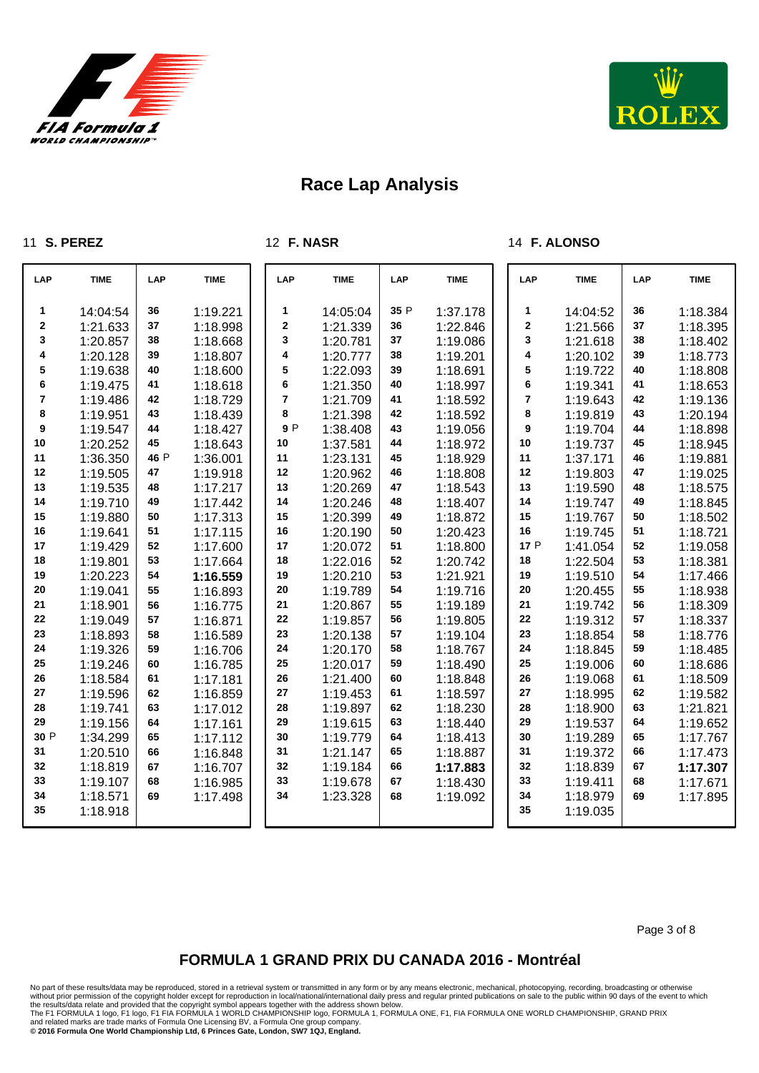



#### **S. PEREZ**

**F. NASR**

### **F. ALONSO**

| LAP  | <b>TIME</b> | LAP  | <b>TIME</b> | LAP            | <b>TIME</b> | <b>LAP</b> | <b>TIME</b> | LAP         | <b>TIME</b> | LAP | <b>TIME</b> |
|------|-------------|------|-------------|----------------|-------------|------------|-------------|-------------|-------------|-----|-------------|
| 1    | 14:04:54    | 36   | 1:19.221    | 1              | 14:05:04    | 35 P       | 1:37.178    | 1           | 14:04:52    | 36  | 1:18.384    |
| 2    | 1:21.633    | 37   | 1:18.998    | $\bf{2}$       | 1:21.339    | 36         | 1:22.846    | $\mathbf 2$ | 1:21.566    | 37  | 1:18.395    |
| 3    | 1:20.857    | 38   | 1:18.668    | 3              | 1:20.781    | 37         | 1:19.086    | 3           | 1:21.618    | 38  | 1:18.402    |
| 4    | 1:20.128    | 39   | 1:18.807    | 4              | 1:20.777    | 38         | 1:19.201    | 4           | 1:20.102    | 39  | 1:18.773    |
| 5    | 1:19.638    | 40   | 1:18.600    | 5              | 1:22.093    | 39         | 1:18.691    | 5           | 1:19.722    | 40  | 1:18.808    |
| 6    | 1:19.475    | 41   | 1:18.618    | 6              | 1:21.350    | 40         | 1:18.997    | 6           | 1:19.341    | 41  | 1:18.653    |
| 7    | 1:19.486    | 42   | 1:18.729    | $\overline{7}$ | 1:21.709    | 41         | 1:18.592    | 7           | 1:19.643    | 42  | 1:19.136    |
| 8    | 1:19.951    | 43   | 1:18.439    | 8              | 1:21.398    | 42         | 1:18.592    | 8           | 1:19.819    | 43  | 1:20.194    |
| 9    | 1:19.547    | 44   | 1:18.427    | 9P             | 1:38.408    | 43         | 1:19.056    | 9           | 1:19.704    | 44  | 1:18.898    |
| 10   | 1:20.252    | 45   | 1:18.643    | 10             | 1:37.581    | 44         | 1:18.972    | 10          | 1:19.737    | 45  | 1:18.945    |
| 11   | 1:36.350    | 46 P | 1:36.001    | 11             | 1:23.131    | 45         | 1:18.929    | 11          | 1:37.171    | 46  | 1:19.881    |
| 12   | 1:19.505    | 47   | 1:19.918    | 12             | 1:20.962    | 46         | 1:18.808    | 12          | 1:19.803    | 47  | 1:19.025    |
| 13   | 1:19.535    | 48   | 1:17.217    | 13             | 1:20.269    | 47         | 1:18.543    | 13          | 1:19.590    | 48  | 1:18.575    |
| 14   | 1:19.710    | 49   | 1:17.442    | 14             | 1:20.246    | 48         | 1:18.407    | 14          | 1:19.747    | 49  | 1:18.845    |
| 15   | 1:19.880    | 50   | 1:17.313    | 15             | 1:20.399    | 49         | 1:18.872    | 15          | 1:19.767    | 50  | 1:18.502    |
| 16   | 1:19.641    | 51   | 1:17.115    | 16             | 1:20.190    | 50         | 1:20.423    | 16          | 1:19.745    | 51  | 1:18.721    |
| 17   | 1:19.429    | 52   | 1:17.600    | 17             | 1:20.072    | 51         | 1:18.800    | 17 P        | 1:41.054    | 52  | 1:19.058    |
| 18   | 1:19.801    | 53   | 1:17.664    | 18             | 1:22.016    | 52         | 1:20.742    | 18          | 1:22.504    | 53  | 1:18.381    |
| 19   | 1:20.223    | 54   | 1:16.559    | 19             | 1:20.210    | 53         | 1:21.921    | 19          | 1:19.510    | 54  | 1:17.466    |
| 20   | 1:19.041    | 55   | 1:16.893    | 20             | 1:19.789    | 54         | 1:19.716    | 20          | 1:20.455    | 55  | 1:18.938    |
| 21   | 1:18.901    | 56   | 1:16.775    | 21             | 1:20.867    | 55         | 1:19.189    | 21          | 1:19.742    | 56  | 1:18.309    |
| 22   | 1:19.049    | 57   | 1:16.871    | 22             | 1:19.857    | 56         | 1:19.805    | 22          | 1:19.312    | 57  | 1:18.337    |
| 23   | 1:18.893    | 58   | 1:16.589    | 23             | 1:20.138    | 57         | 1:19.104    | 23          | 1:18.854    | 58  | 1:18.776    |
| 24   | 1:19.326    | 59   | 1:16.706    | 24             | 1:20.170    | 58         | 1:18.767    | 24          | 1:18.845    | 59  | 1:18.485    |
| 25   | 1:19.246    | 60   | 1:16.785    | 25             | 1:20.017    | 59         | 1:18.490    | 25          | 1:19.006    | 60  | 1:18.686    |
| 26   | 1:18.584    | 61   | 1:17.181    | 26             | 1:21.400    | 60         | 1:18.848    | 26          | 1:19.068    | 61  | 1:18.509    |
| 27   | 1:19.596    | 62   | 1:16.859    | 27             | 1:19.453    | 61         | 1:18.597    | 27          | 1:18.995    | 62  | 1:19.582    |
| 28   | 1:19.741    | 63   | 1:17.012    | 28             | 1:19.897    | 62         | 1:18.230    | 28          | 1:18.900    | 63  | 1:21.821    |
| 29   | 1:19.156    | 64   | 1:17.161    | 29             | 1:19.615    | 63         | 1:18.440    | 29          | 1:19.537    | 64  | 1:19.652    |
| 30 P | 1:34.299    | 65   | 1:17.112    | 30             | 1:19.779    | 64         | 1:18.413    | 30          | 1:19.289    | 65  | 1:17.767    |
| 31   | 1:20.510    | 66   | 1:16.848    | 31             | 1:21.147    | 65         | 1:18.887    | 31          | 1:19.372    | 66  | 1:17.473    |
| 32   | 1:18.819    | 67   | 1:16.707    | 32             | 1:19.184    | 66         | 1:17.883    | 32          | 1:18.839    | 67  | 1:17.307    |
| 33   | 1:19.107    | 68   | 1:16.985    | 33             | 1:19.678    | 67         | 1:18.430    | 33          | 1:19.411    | 68  | 1:17.671    |
| 34   | 1:18.571    | 69   | 1:17.498    | 34             | 1:23.328    | 68         | 1:19.092    | 34          | 1:18.979    | 69  | 1:17.895    |
| 35   | 1:18.918    |      |             |                |             |            |             | 35          | 1:19.035    |     |             |

Page 3 of 8

## **FORMULA 1 GRAND PRIX DU CANADA 2016 - Montréal**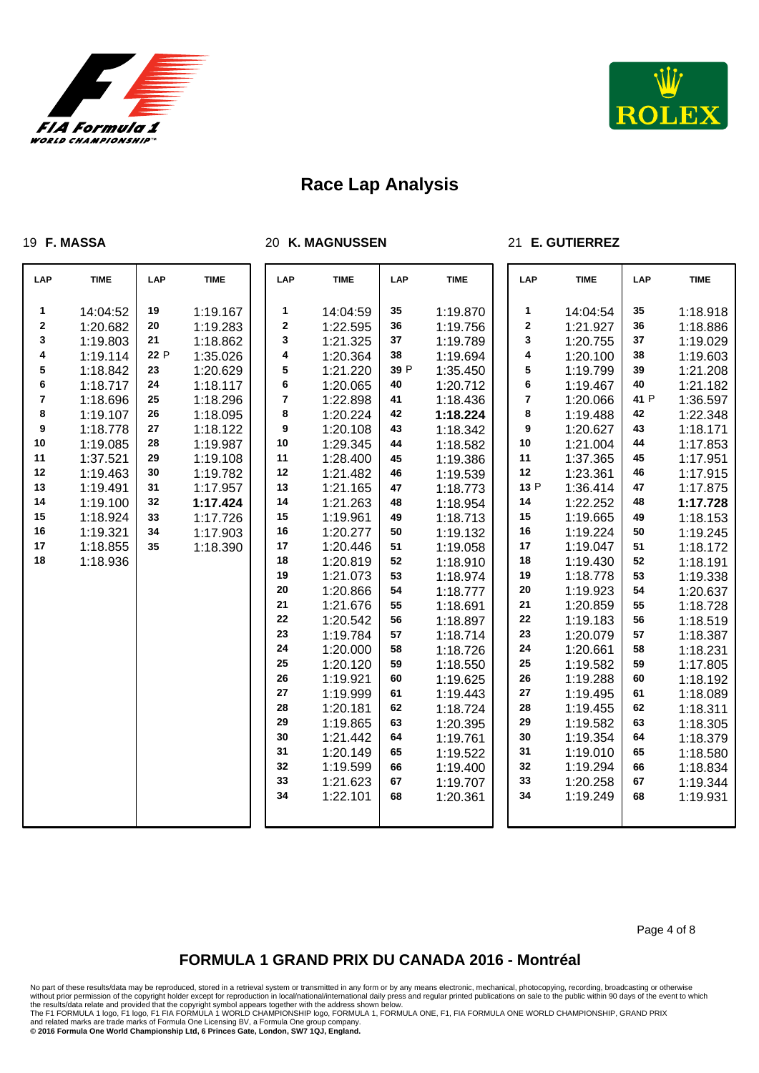



### **F. MASSA**

#### **K. MAGNUSSEN**

### **E. GUTIERREZ**

| <b>LAP</b>              | <b>TIME</b> | LAP  | <b>TIME</b> |    | LAP     | <b>TIME</b> | LAP  | <b>TIME</b> | LAP              | <b>TIME</b> | LAP  | <b>TIME</b> |
|-------------------------|-------------|------|-------------|----|---------|-------------|------|-------------|------------------|-------------|------|-------------|
| 1                       | 14:04:52    | 19   | 1:19.167    |    | 1       | 14:04:59    | 35   | 1:19.870    | 1                | 14:04:54    | 35   | 1:18.918    |
| $\mathbf 2$             | 1:20.682    | 20   | 1:19.283    |    | $\bf 2$ | 1:22.595    | 36   | 1:19.756    | 2                | 1:21.927    | 36   | 1:18.886    |
| $\mathbf 3$             | 1:19.803    | 21   | 1:18.862    |    | 3       | 1:21.325    | 37   | 1:19.789    | 3                | 1:20.755    | 37   | 1:19.029    |
| 4                       | 1:19.114    | 22 P | 1:35.026    |    | 4       | 1:20.364    | 38   | 1:19.694    | 4                | 1:20.100    | 38   | 1:19.603    |
| 5                       | 1:18.842    | 23   | 1:20.629    |    | 5       | 1:21.220    | 39 P | 1:35.450    | 5                | 1:19.799    | 39   | 1:21.208    |
| $\bf 6$                 | 1:18.717    | 24   | 1:18.117    |    | 6       | 1:20.065    | 40   | 1:20.712    | 6                | 1:19.467    | 40   | 1:21.182    |
| $\overline{\mathbf{7}}$ | 1:18.696    | 25   | 1:18.296    |    | 7       | 1:22.898    | 41   | 1:18.436    | 7                | 1:20.066    | 41 P | 1:36.597    |
| 8                       | 1:19.107    | 26   | 1:18.095    |    | 8       | 1:20.224    | 42   | 1:18.224    | 8                | 1:19.488    | 42   | 1:22.348    |
| 9                       | 1:18.778    | 27   | 1:18.122    |    | 9       | 1:20.108    | 43   | 1:18.342    | $\boldsymbol{9}$ | 1:20.627    | 43   | 1:18.171    |
| 10                      | 1:19.085    | 28   | 1:19.987    | 10 |         | 1:29.345    | 44   | 1:18.582    | $10$             | 1:21.004    | 44   | 1:17.853    |
| 11                      | 1:37.521    | 29   | 1:19.108    | 11 |         | 1:28.400    | 45   | 1:19.386    | 11               | 1:37.365    | 45   | 1:17.951    |
| 12                      | 1:19.463    | 30   | 1:19.782    | 12 |         | 1:21.482    | 46   | 1:19.539    | 12               | 1:23.361    | 46   | 1:17.915    |
| 13                      | 1:19.491    | 31   | 1:17.957    | 13 |         | 1:21.165    | 47   | 1:18.773    | 13 P             | 1:36.414    | 47   | 1:17.875    |
| 14                      | 1:19.100    | 32   | 1:17.424    | 14 |         | 1:21.263    | 48   | 1:18.954    | 14               | 1:22.252    | 48   | 1:17.728    |
| 15                      | 1:18.924    | 33   | 1:17.726    | 15 |         | 1:19.961    | 49   | 1:18.713    | 15               | 1:19.665    | 49   | 1:18.153    |
| 16                      | 1:19.321    | 34   | 1:17.903    | 16 |         | 1:20.277    | 50   | 1:19.132    | 16               | 1:19.224    | 50   | 1:19.245    |
| 17                      | 1:18.855    | 35   | 1:18.390    | 17 |         | 1:20.446    | 51   | 1:19.058    | 17               | 1:19.047    | 51   | 1:18.172    |
| 18                      | 1:18.936    |      |             | 18 |         | 1:20.819    | 52   | 1:18.910    | 18               | 1:19.430    | 52   | 1:18.191    |
|                         |             |      |             | 19 |         | 1:21.073    | 53   | 1:18.974    | 19               | 1:18.778    | 53   | 1:19.338    |
|                         |             |      |             | 20 |         | 1:20.866    | 54   | 1:18.777    | 20               | 1:19.923    | 54   | 1:20.637    |
|                         |             |      |             | 21 |         | 1:21.676    | 55   | 1:18.691    | 21               | 1:20.859    | 55   | 1:18.728    |
|                         |             |      |             | 22 |         | 1:20.542    | 56   | 1:18.897    | 22               | 1:19.183    | 56   | 1:18.519    |
|                         |             |      |             | 23 |         | 1:19.784    | 57   | 1:18.714    | 23               | 1:20.079    | 57   | 1:18.387    |
|                         |             |      |             | 24 |         | 1:20.000    | 58   | 1:18.726    | 24               | 1:20.661    | 58   | 1:18.231    |
|                         |             |      |             | 25 |         | 1:20.120    | 59   | 1:18.550    | 25               | 1:19.582    | 59   | 1:17.805    |
|                         |             |      |             | 26 |         | 1:19.921    | 60   | 1:19.625    | 26               | 1:19.288    | 60   | 1:18.192    |
|                         |             |      |             | 27 |         | 1:19.999    | 61   | 1:19.443    | 27               | 1:19.495    | 61   | 1:18.089    |
|                         |             |      |             | 28 |         | 1:20.181    | 62   | 1:18.724    | 28               | 1:19.455    | 62   | 1:18.311    |
|                         |             |      |             | 29 |         | 1:19.865    | 63   | 1:20.395    | 29               | 1:19.582    | 63   | 1:18.305    |
|                         |             |      |             | 30 |         | 1:21.442    | 64   | 1:19.761    | 30               | 1:19.354    | 64   | 1:18.379    |
|                         |             |      |             | 31 |         | 1:20.149    | 65   | 1:19.522    | 31               | 1:19.010    | 65   | 1:18.580    |
|                         |             |      |             | 32 |         | 1:19.599    | 66   | 1:19.400    | 32               | 1:19.294    | 66   | 1:18.834    |
|                         |             |      |             | 33 |         | 1:21.623    | 67   | 1:19.707    | 33               | 1:20.258    | 67   | 1:19.344    |
|                         |             |      |             | 34 |         | 1:22.101    | 68   | 1:20.361    | 34               | 1:19.249    | 68   | 1:19.931    |
|                         |             |      |             |    |         |             |      |             |                  |             |      |             |

Page 4 of 8

## **FORMULA 1 GRAND PRIX DU CANADA 2016 - Montréal**

No part of these results/data may be reproduced, stored in a retrieval system or transmitted in any form or by any means electronic, mechanical, photocopying, recording, broadcasting or otherwise

without prior permission of the copyright holder except for reproduction in local/national/international daily press and regular printed publications on sale to the public within 90 days of the event to which<br>the results/d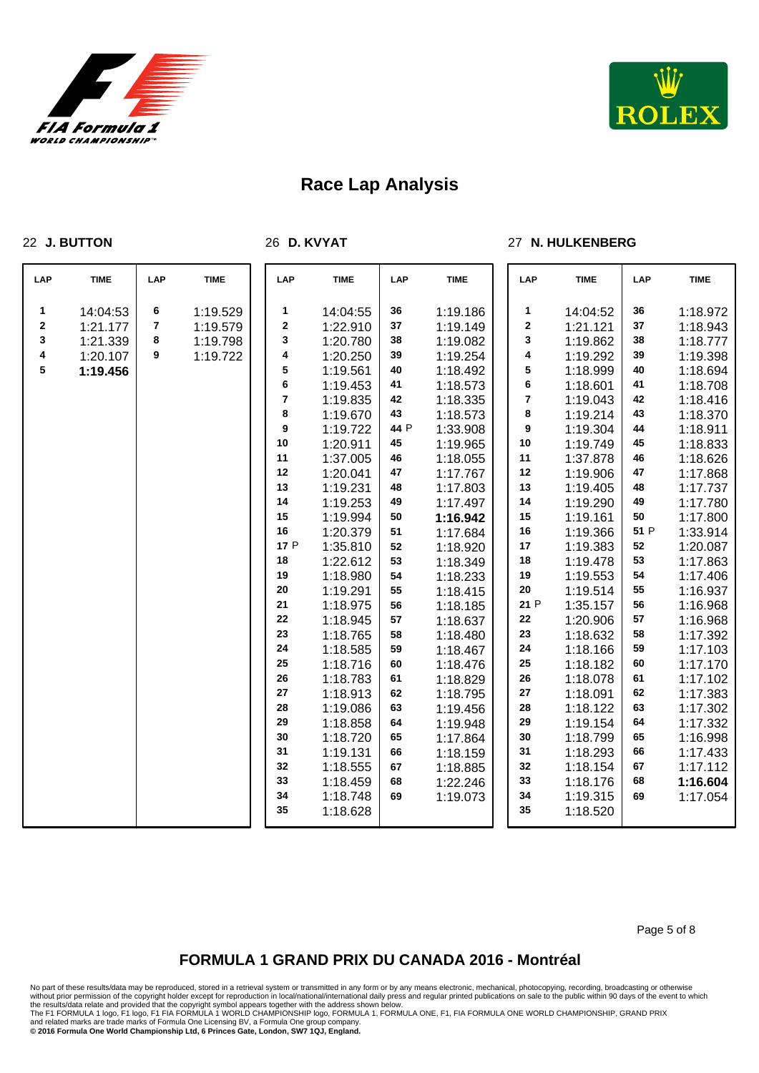



### **J. BUTTON**

**D. KVYAT**

### **N. HULKENBERG**

| LAP         | <b>TIME</b> | LAP | <b>TIME</b> | LAP                     | <b>TIME</b> | LAP  | <b>TIME</b> | LAP        | <b>TIME</b> | LAP  | <b>TIME</b> |
|-------------|-------------|-----|-------------|-------------------------|-------------|------|-------------|------------|-------------|------|-------------|
| 1           | 14:04:53    | 6   | 1:19.529    | 1                       | 14:04:55    | 36   | 1:19.186    | 1          | 14:04:52    | 36   | 1:18.972    |
| $\mathbf 2$ | 1:21.177    | 7   | 1:19.579    | $\mathbf 2$             | 1:22.910    | 37   | 1:19.149    | 2          | 1:21.121    | 37   | 1:18.943    |
| 3           | 1:21.339    | 8   | 1:19.798    | 3                       | 1:20.780    | 38   | 1:19.082    | 3          | 1:19.862    | 38   | 1:18.777    |
| 4           | 1:20.107    | 9   | 1:19.722    | 4                       | 1:20.250    | 39   | 1:19.254    | 4          | 1:19.292    | 39   | 1:19.398    |
| 5           | 1:19.456    |     |             | 5                       | 1:19.561    | 40   | 1:18.492    | 5          | 1:18.999    | 40   | 1:18.694    |
|             |             |     |             | 6                       | 1:19.453    | 41   | 1:18.573    | 6          | 1:18.601    | 41   | 1:18.708    |
|             |             |     |             | $\overline{\mathbf{7}}$ | 1:19.835    | 42   | 1:18.335    | 7          | 1:19.043    | 42   | 1:18.416    |
|             |             |     |             | 8                       | 1:19.670    | 43   | 1:18.573    | 8          | 1:19.214    | 43   | 1:18.370    |
|             |             |     |             | $\boldsymbol{9}$        | 1:19.722    | 44 P | 1:33.908    | 9          | 1:19.304    | 44   | 1:18.911    |
|             |             |     |             | 10                      | 1:20.911    | 45   | 1:19.965    | 10         | 1:19.749    | 45   | 1:18.833    |
|             |             |     |             | 11                      | 1:37.005    | 46   | 1:18.055    | 11         | 1:37.878    | 46   | 1:18.626    |
|             |             |     |             | 12                      | 1:20.041    | 47   | 1:17.767    | 12         | 1:19.906    | 47   | 1:17.868    |
|             |             |     |             | 13                      | 1:19.231    | 48   | 1:17.803    | 13         | 1:19.405    | 48   | 1:17.737    |
|             |             |     |             | 14                      | 1:19.253    | 49   | 1:17.497    | 14         | 1:19.290    | 49   | 1:17.780    |
|             |             |     |             | 15                      | 1:19.994    | 50   | 1:16.942    | 15         | 1:19.161    | 50   | 1:17.800    |
|             |             |     |             | 16                      | 1:20.379    | 51   | 1:17.684    | 16         | 1:19.366    | 51 P | 1:33.914    |
|             |             |     |             | 17 P                    | 1:35.810    | 52   | 1:18.920    | 17         | 1:19.383    | 52   | 1:20.087    |
|             |             |     |             | 18                      | 1:22.612    | 53   | 1:18.349    | 18         | 1:19.478    | 53   | 1:17.863    |
|             |             |     |             | 19                      | 1:18.980    | 54   | 1:18.233    | 19         | 1:19.553    | 54   | 1:17.406    |
|             |             |     |             | 20                      | 1:19.291    | 55   | 1:18.415    | 20         | 1:19.514    | 55   | 1:16.937    |
|             |             |     |             | 21                      | 1:18.975    | 56   | 1:18.185    | 21 P       | 1:35.157    | 56   | 1:16.968    |
|             |             |     |             | 22                      | 1:18.945    | 57   | 1:18.637    | 22         | 1:20.906    | 57   | 1:16.968    |
|             |             |     |             | 23                      | 1:18.765    | 58   | 1:18.480    | 23         | 1:18.632    | 58   | 1:17.392    |
|             |             |     |             | 24                      | 1:18.585    | 59   | 1:18.467    | 24         | 1:18.166    | 59   | 1:17.103    |
|             |             |     |             | 25                      | 1:18.716    | 60   | 1:18.476    | 25         | 1:18.182    | 60   | 1:17.170    |
|             |             |     |             | 26                      | 1:18.783    | 61   | 1:18.829    | 26         | 1:18.078    | 61   | 1:17.102    |
|             |             |     |             | 27                      | 1:18.913    | 62   | 1:18.795    | ${\bf 27}$ | 1:18.091    | 62   | 1:17.383    |
|             |             |     |             | 28                      | 1:19.086    | 63   | 1:19.456    | 28         | 1:18.122    | 63   | 1:17.302    |
|             |             |     |             | 29                      | 1:18.858    | 64   | 1:19.948    | 29         | 1:19.154    | 64   | 1:17.332    |
|             |             |     |             | 30                      | 1:18.720    | 65   | 1:17.864    | 30         | 1:18.799    | 65   | 1:16.998    |
|             |             |     |             | 31                      | 1:19.131    | 66   | 1:18.159    | 31         | 1:18.293    | 66   | 1:17.433    |
|             |             |     |             | 32                      | 1:18.555    | 67   | 1:18.885    | 32         | 1:18.154    | 67   | 1:17.112    |
|             |             |     |             | 33                      | 1:18.459    | 68   | 1:22.246    | 33         | 1:18.176    | 68   | 1:16.604    |
|             |             |     |             | 34                      | 1:18.748    | 69   | 1:19.073    | 34         | 1:19.315    | 69   | 1:17.054    |
|             |             |     |             | 35                      | 1:18.628    |      |             | 35         | 1:18.520    |      |             |

Page 5 of 8

## **FORMULA 1 GRAND PRIX DU CANADA 2016 - Montréal**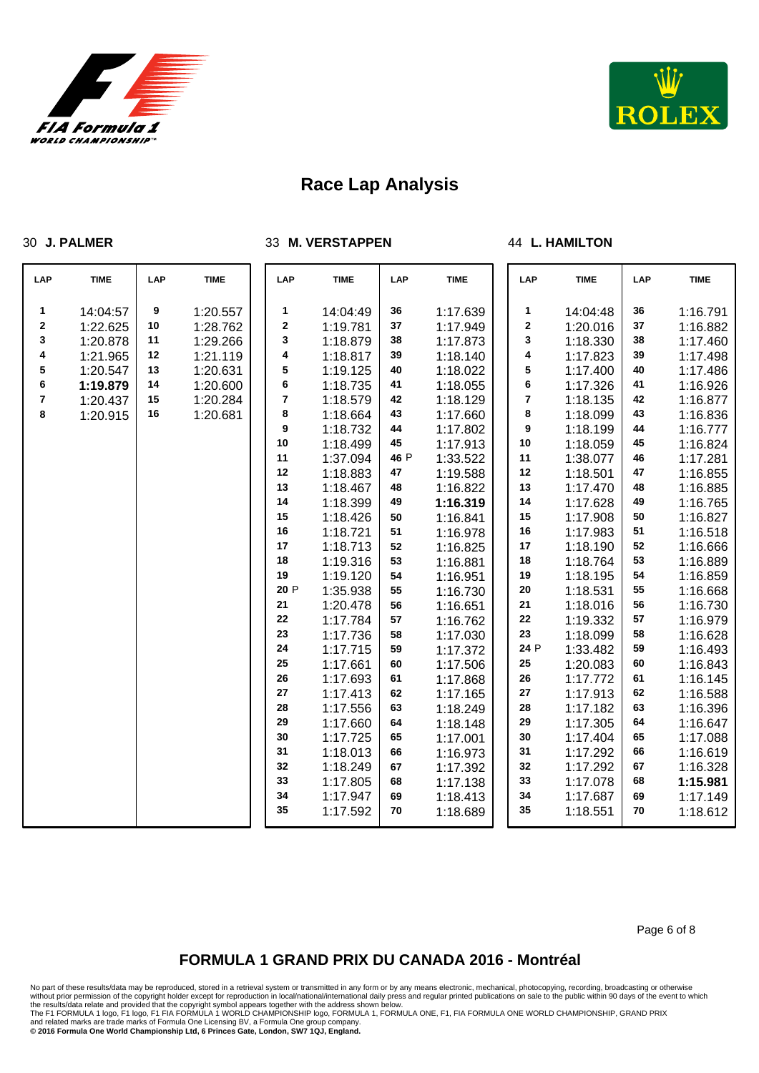

**J. PALMER**



# **Race Lap Analysis**

**M. VERSTAPPEN**

### **L. HAMILTON**

| LAP | <b>TIME</b> | LAP | <b>TIME</b> | LAP         | <b>TIME</b> | <b>LAP</b> | <b>TIME</b> | LAP         | <b>TIME</b> | LAP | <b>TIME</b> |
|-----|-------------|-----|-------------|-------------|-------------|------------|-------------|-------------|-------------|-----|-------------|
| 1   | 14:04:57    | 9   | 1:20.557    | 1           | 14:04:49    | 36         | 1:17.639    | 1           | 14:04:48    | 36  | 1:16.791    |
| 2   | 1:22.625    | 10  | 1:28.762    | $\mathbf 2$ | 1:19.781    | 37         | 1:17.949    | $\mathbf 2$ | 1:20.016    | 37  | 1:16.882    |
| 3   | 1:20.878    | 11  | 1:29.266    | 3           | 1:18.879    | 38         | 1:17.873    | 3           | 1:18.330    | 38  | 1:17.460    |
| 4   | 1:21.965    | 12  | 1:21.119    | 4           | 1:18.817    | 39         | 1:18.140    | 4           | 1:17.823    | 39  | 1:17.498    |
| 5   | 1:20.547    | 13  | 1:20.631    | 5           | 1:19.125    | 40         | 1:18.022    | 5           | 1:17.400    | 40  | 1:17.486    |
| 6   | 1:19.879    | 14  | 1:20.600    | 6           | 1:18.735    | 41         | 1:18.055    | 6           | 1:17.326    | 41  | 1:16.926    |
| 7   | 1:20.437    | 15  | 1:20.284    | 7           | 1:18.579    | 42         | 1:18.129    | 7           | 1:18.135    | 42  | 1:16.877    |
| 8   | 1:20.915    | 16  | 1:20.681    | 8           | 1:18.664    | 43         | 1:17.660    | 8           | 1:18.099    | 43  | 1:16.836    |
|     |             |     |             | 9           | 1:18.732    | 44         | 1:17.802    | 9           | 1:18.199    | 44  | 1:16.777    |
|     |             |     |             | 10          | 1:18.499    | 45         | 1:17.913    | $10\,$      | 1:18.059    | 45  | 1:16.824    |
|     |             |     |             | 11          | 1:37.094    | 46 P       | 1:33.522    | 11          | 1:38.077    | 46  | 1:17.281    |
|     |             |     |             | 12          | 1:18.883    | 47         | 1:19.588    | 12          | 1:18.501    | 47  | 1:16.855    |
|     |             |     |             | 13          | 1:18.467    | 48         | 1:16.822    | 13          | 1:17.470    | 48  | 1:16.885    |
|     |             |     |             | 14          | 1:18.399    | 49         | 1:16.319    | 14          | 1:17.628    | 49  | 1:16.765    |
|     |             |     |             | 15          | 1:18.426    | 50         | 1:16.841    | 15          | 1:17.908    | 50  | 1:16.827    |
|     |             |     |             | 16          | 1:18.721    | 51         | 1:16.978    | 16          | 1:17.983    | 51  | 1:16.518    |
|     |             |     |             | 17          | 1:18.713    | 52         | 1:16.825    | 17          | 1:18.190    | 52  | 1:16.666    |
|     |             |     |             | 18          | 1:19.316    | 53         | 1:16.881    | $18$        | 1:18.764    | 53  | 1:16.889    |
|     |             |     |             | 19          | 1:19.120    | 54         | 1:16.951    | 19          | 1:18.195    | 54  | 1:16.859    |
|     |             |     |             | 20 P        | 1:35.938    | 55         | 1:16.730    | ${\bf 20}$  | 1:18.531    | 55  | 1:16.668    |
|     |             |     |             | 21          | 1:20.478    | 56         | 1:16.651    | 21          | 1:18.016    | 56  | 1:16.730    |
|     |             |     |             | 22          | 1:17.784    | 57         | 1:16.762    | 22          | 1:19.332    | 57  | 1:16.979    |
|     |             |     |             | 23          | 1:17.736    | 58         | 1:17.030    | 23          | 1:18.099    | 58  | 1:16.628    |
|     |             |     |             | 24          | 1:17.715    | 59         | 1:17.372    | 24 P        | 1:33.482    | 59  | 1:16.493    |
|     |             |     |             | 25          | 1:17.661    | 60         | 1:17.506    | 25          | 1:20.083    | 60  | 1:16.843    |
|     |             |     |             | 26          | 1:17.693    | 61         | 1:17.868    | 26          | 1:17.772    | 61  | 1:16.145    |
|     |             |     |             | 27          | 1:17.413    | 62         | 1:17.165    | ${\bf 27}$  | 1:17.913    | 62  | 1:16.588    |
|     |             |     |             | 28          | 1:17.556    | 63         | 1:18.249    | 28          | 1:17.182    | 63  | 1:16.396    |
|     |             |     |             | 29          | 1:17.660    | 64         | 1:18.148    | 29          | 1:17.305    | 64  | 1:16.647    |
|     |             |     |             | 30          | 1:17.725    | 65         | 1:17.001    | 30          | 1:17.404    | 65  | 1:17.088    |
|     |             |     |             | 31          | 1:18.013    | 66         | 1:16.973    | 31          | 1:17.292    | 66  | 1:16.619    |
|     |             |     |             | 32          | 1:18.249    | 67         | 1:17.392    | 32          | 1:17.292    | 67  | 1:16.328    |
|     |             |     |             | 33          | 1:17.805    | 68         | 1:17.138    | 33          | 1:17.078    | 68  | 1:15.981    |
|     |             |     |             | 34          | 1:17.947    | 69         | 1:18.413    | 34          | 1:17.687    | 69  | 1:17.149    |
|     |             |     |             | 35          | 1:17.592    | 70         | 1:18.689    | 35          | 1:18.551    | 70  | 1:18.612    |

Page 6 of 8

## **FORMULA 1 GRAND PRIX DU CANADA 2016 - Montréal**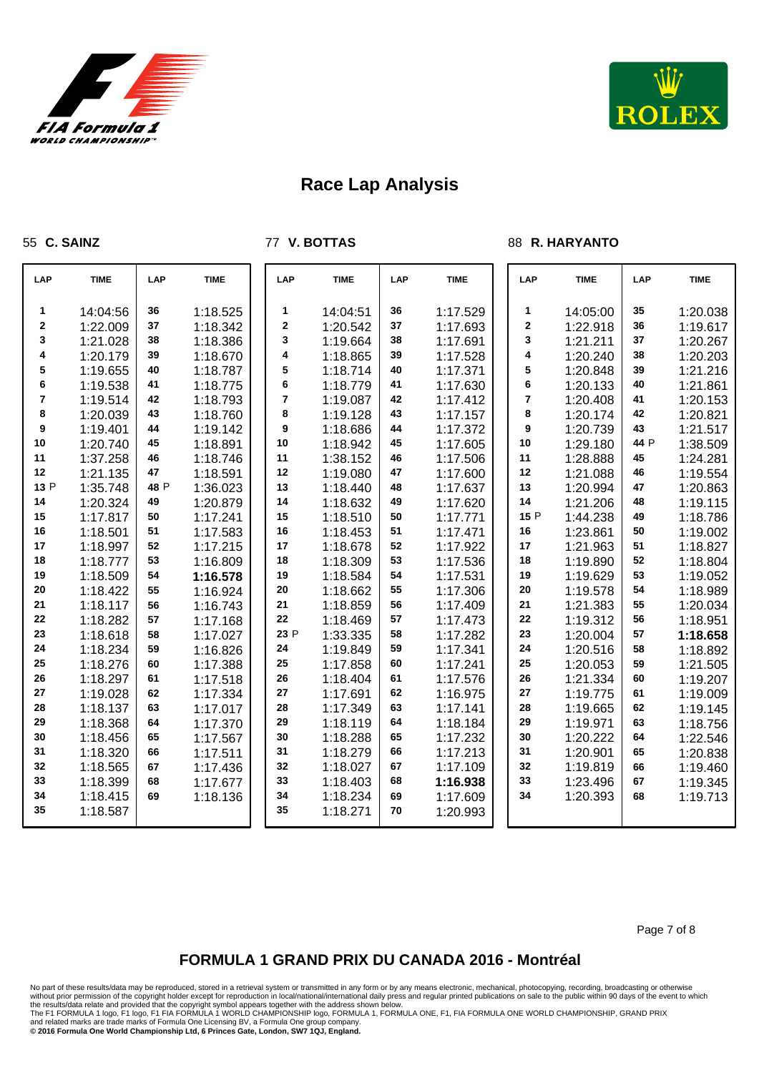



### **C. SAINZ**

**V. BOTTAS**

### **R. HARYANTO**

| LAP  | <b>TIME</b> | LAP  | <b>TIME</b> | LAP            | <b>TIME</b> | <b>LAP</b> | <b>TIME</b> | LAP         | <b>TIME</b> | LAP  | <b>TIME</b> |
|------|-------------|------|-------------|----------------|-------------|------------|-------------|-------------|-------------|------|-------------|
| 1    | 14:04:56    | 36   | 1:18.525    | 1              | 14:04:51    | 36         | 1:17.529    | 1           | 14:05:00    | 35   | 1:20.038    |
| 2    | 1:22.009    | 37   | 1:18.342    | $\bf{2}$       | 1:20.542    | 37         | 1:17.693    | $\mathbf 2$ | 1:22.918    | 36   | 1:19.617    |
| 3    | 1:21.028    | 38   | 1:18.386    | 3              | 1:19.664    | 38         | 1:17.691    | 3           | 1:21.211    | 37   | 1:20.267    |
| 4    | 1:20.179    | 39   | 1:18.670    | 4              | 1:18.865    | 39         | 1:17.528    | 4           | 1:20.240    | 38   | 1:20.203    |
| 5    | 1:19.655    | 40   | 1:18.787    | 5              | 1:18.714    | 40         | 1:17.371    | 5           | 1:20.848    | 39   | 1:21.216    |
| 6    | 1:19.538    | 41   | 1:18.775    | 6              | 1:18.779    | 41         | 1:17.630    | 6           | 1:20.133    | 40   | 1:21.861    |
| 7    | 1:19.514    | 42   | 1:18.793    | $\overline{7}$ | 1:19.087    | 42         | 1:17.412    | 7           | 1:20.408    | 41   | 1:20.153    |
| 8    | 1:20.039    | 43   | 1:18.760    | 8              | 1:19.128    | 43         | 1:17.157    | 8           | 1:20.174    | 42   | 1:20.821    |
| 9    | 1:19.401    | 44   | 1:19.142    | 9              | 1:18.686    | 44         | 1:17.372    | 9           | 1:20.739    | 43   | 1:21.517    |
| 10   | 1:20.740    | 45   | 1:18.891    | 10             | 1:18.942    | 45         | 1:17.605    | 10          | 1:29.180    | 44 P | 1:38.509    |
| 11   | 1:37.258    | 46   | 1:18.746    | 11             | 1:38.152    | 46         | 1:17.506    | 11          | 1:28.888    | 45   | 1:24.281    |
| 12   | 1:21.135    | 47   | 1:18.591    | 12             | 1:19.080    | 47         | 1:17.600    | 12          | 1:21.088    | 46   | 1:19.554    |
| 13 P | 1:35.748    | 48 P | 1:36.023    | 13             | 1:18.440    | 48         | 1:17.637    | 13          | 1:20.994    | 47   | 1:20.863    |
| 14   | 1:20.324    | 49   | 1:20.879    | 14             | 1:18.632    | 49         | 1:17.620    | 14          | 1:21.206    | 48   | 1:19.115    |
| 15   | 1:17.817    | 50   | 1:17.241    | 15             | 1:18.510    | 50         | 1:17.771    | 15 P        | 1:44.238    | 49   | 1:18.786    |
| 16   | 1:18.501    | 51   | 1:17.583    | 16             | 1:18.453    | 51         | 1:17.471    | 16          | 1:23.861    | 50   | 1:19.002    |
| 17   | 1:18.997    | 52   | 1:17.215    | 17             | 1:18.678    | 52         | 1:17.922    | 17          | 1:21.963    | 51   | 1:18.827    |
| 18   | 1:18.777    | 53   | 1:16.809    | 18             | 1:18.309    | 53         | 1:17.536    | 18          | 1:19.890    | 52   | 1:18.804    |
| 19   | 1:18.509    | 54   | 1:16.578    | 19             | 1:18.584    | 54         | 1:17.531    | 19          | 1:19.629    | 53   | 1:19.052    |
| 20   | 1:18.422    | 55   | 1:16.924    | 20             | 1:18.662    | 55         | 1:17.306    | 20          | 1:19.578    | 54   | 1:18.989    |
| 21   | 1:18.117    | 56   | 1:16.743    | 21             | 1:18.859    | 56         | 1:17.409    | 21          | 1:21.383    | 55   | 1:20.034    |
| 22   | 1:18.282    | 57   | 1:17.168    | 22             | 1:18.469    | 57         | 1:17.473    | 22          | 1:19.312    | 56   | 1:18.951    |
| 23   | 1:18.618    | 58   | 1:17.027    | 23 P           | 1:33.335    | 58         | 1:17.282    | 23          | 1:20.004    | 57   | 1:18.658    |
| 24   | 1:18.234    | 59   | 1:16.826    | 24             | 1:19.849    | 59         | 1:17.341    | 24          | 1:20.516    | 58   | 1:18.892    |
| 25   | 1:18.276    | 60   | 1:17.388    | 25             | 1:17.858    | 60         | 1:17.241    | 25          | 1:20.053    | 59   | 1:21.505    |
| 26   | 1:18.297    | 61   | 1:17.518    | 26             | 1:18.404    | 61         | 1:17.576    | 26          | 1:21.334    | 60   | 1:19.207    |
| 27   | 1:19.028    | 62   | 1:17.334    | 27             | 1:17.691    | 62         | 1:16.975    | 27          | 1:19.775    | 61   | 1:19.009    |
| 28   | 1:18.137    | 63   | 1:17.017    | 28             | 1:17.349    | 63         | 1:17.141    | 28          | 1:19.665    | 62   | 1:19.145    |
| 29   | 1:18.368    | 64   | 1:17.370    | 29             | 1:18.119    | 64         | 1:18.184    | 29          | 1:19.971    | 63   | 1:18.756    |
| 30   | 1:18.456    | 65   | 1:17.567    | 30             | 1:18.288    | 65         | 1:17.232    | 30          | 1:20.222    | 64   | 1:22.546    |
| 31   | 1:18.320    | 66   | 1:17.511    | 31             | 1:18.279    | 66         | 1:17.213    | 31          | 1:20.901    | 65   | 1:20.838    |
| 32   | 1:18.565    | 67   | 1:17.436    | 32             | 1:18.027    | 67         | 1:17.109    | 32          | 1:19.819    | 66   | 1:19.460    |
| 33   | 1:18.399    | 68   | 1:17.677    | 33             | 1:18.403    | 68         | 1:16.938    | 33          | 1:23.496    | 67   | 1:19.345    |
| 34   | 1:18.415    | 69   | 1:18.136    | 34             | 1:18.234    | 69         | 1:17.609    | 34          | 1:20.393    | 68   | 1:19.713    |
| 35   | 1:18.587    |      |             | 35             | 1:18.271    | 70         | 1:20.993    |             |             |      |             |

Page 7 of 8

## **FORMULA 1 GRAND PRIX DU CANADA 2016 - Montréal**